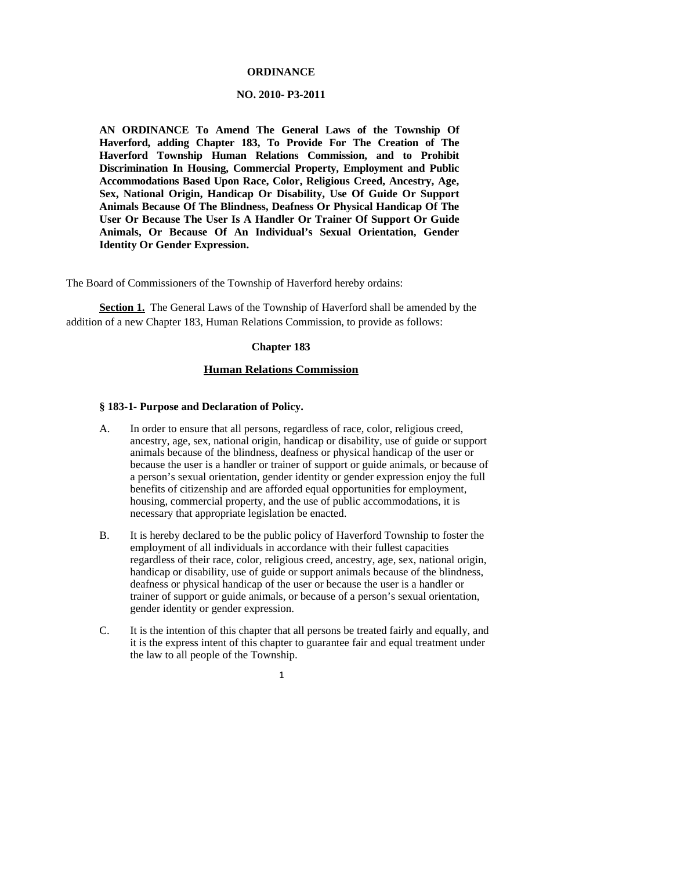#### **ORDINANCE**

#### **NO. 2010- P3-2011**

**AN ORDINANCE To Amend The General Laws of the Township Of Haverford, adding Chapter 183, To Provide For The Creation of The Haverford Township Human Relations Commission, and to Prohibit Discrimination In Housing, Commercial Property, Employment and Public Accommodations Based Upon Race, Color, Religious Creed, Ancestry, Age, Sex, National Origin, Handicap Or Disability, Use Of Guide Or Support Animals Because Of The Blindness, Deafness Or Physical Handicap Of The User Or Because The User Is A Handler Or Trainer Of Support Or Guide Animals, Or Because Of An Individual's Sexual Orientation, Gender Identity Or Gender Expression.** 

The Board of Commissioners of the Township of Haverford hereby ordains:

**Section 1.** The General Laws of the Township of Haverford shall be amended by the addition of a new Chapter 183, Human Relations Commission, to provide as follows:

## **Chapter 183**

# **Human Relations Commission**

#### **§ 183-1- Purpose and Declaration of Policy.**

- A. In order to ensure that all persons, regardless of race, color, religious creed, ancestry, age, sex, national origin, handicap or disability, use of guide or support animals because of the blindness, deafness or physical handicap of the user or because the user is a handler or trainer of support or guide animals, or because of a person's sexual orientation, gender identity or gender expression enjoy the full benefits of citizenship and are afforded equal opportunities for employment, housing, commercial property, and the use of public accommodations, it is necessary that appropriate legislation be enacted.
- B. It is hereby declared to be the public policy of Haverford Township to foster the employment of all individuals in accordance with their fullest capacities regardless of their race, color, religious creed, ancestry, age, sex, national origin, handicap or disability, use of guide or support animals because of the blindness, deafness or physical handicap of the user or because the user is a handler or trainer of support or guide animals, or because of a person's sexual orientation, gender identity or gender expression.
- C. It is the intention of this chapter that all persons be treated fairly and equally, and it is the express intent of this chapter to guarantee fair and equal treatment under the law to all people of the Township.

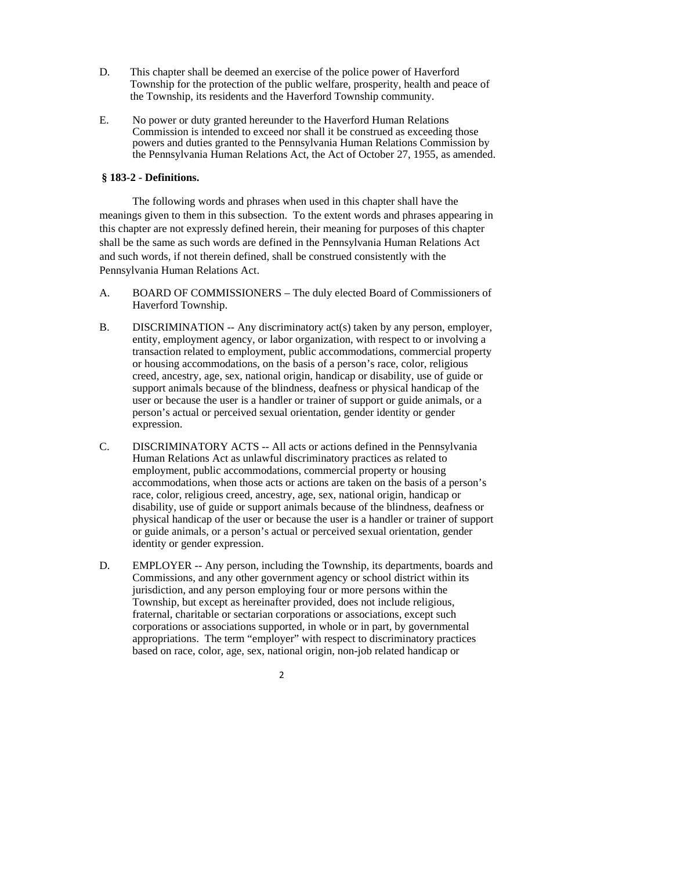- D. This chapter shall be deemed an exercise of the police power of Haverford Township for the protection of the public welfare, prosperity, health and peace of the Township, its residents and the Haverford Township community.
- E. No power or duty granted hereunder to the Haverford Human Relations Commission is intended to exceed nor shall it be construed as exceeding those powers and duties granted to the Pennsylvania Human Relations Commission by the Pennsylvania Human Relations Act, the Act of October 27, 1955, as amended.

# **§ 183-2 - Definitions.**

The following words and phrases when used in this chapter shall have the meanings given to them in this subsection. To the extent words and phrases appearing in this chapter are not expressly defined herein, their meaning for purposes of this chapter shall be the same as such words are defined in the Pennsylvania Human Relations Act and such words, if not therein defined, shall be construed consistently with the Pennsylvania Human Relations Act.

- A. BOARD OF COMMISSIONERS The duly elected Board of Commissioners of Haverford Township.
- B. DISCRIMINATION -- Any discriminatory act(s) taken by any person, employer, entity, employment agency, or labor organization, with respect to or involving a transaction related to employment, public accommodations, commercial property or housing accommodations, on the basis of a person's race, color, religious creed, ancestry, age, sex, national origin, handicap or disability, use of guide or support animals because of the blindness, deafness or physical handicap of the user or because the user is a handler or trainer of support or guide animals, or a person's actual or perceived sexual orientation, gender identity or gender expression.
- C. DISCRIMINATORY ACTS -- All acts or actions defined in the Pennsylvania Human Relations Act as unlawful discriminatory practices as related to employment, public accommodations, commercial property or housing accommodations, when those acts or actions are taken on the basis of a person's race, color, religious creed, ancestry, age, sex, national origin, handicap or disability, use of guide or support animals because of the blindness, deafness or physical handicap of the user or because the user is a handler or trainer of support or guide animals, or a person's actual or perceived sexual orientation, gender identity or gender expression.
- D. EMPLOYER -- Any person, including the Township, its departments, boards and Commissions, and any other government agency or school district within its jurisdiction, and any person employing four or more persons within the Township, but except as hereinafter provided, does not include religious, fraternal, charitable or sectarian corporations or associations, except such corporations or associations supported, in whole or in part, by governmental appropriations. The term "employer" with respect to discriminatory practices based on race, color, age, sex, national origin, non-job related handicap or

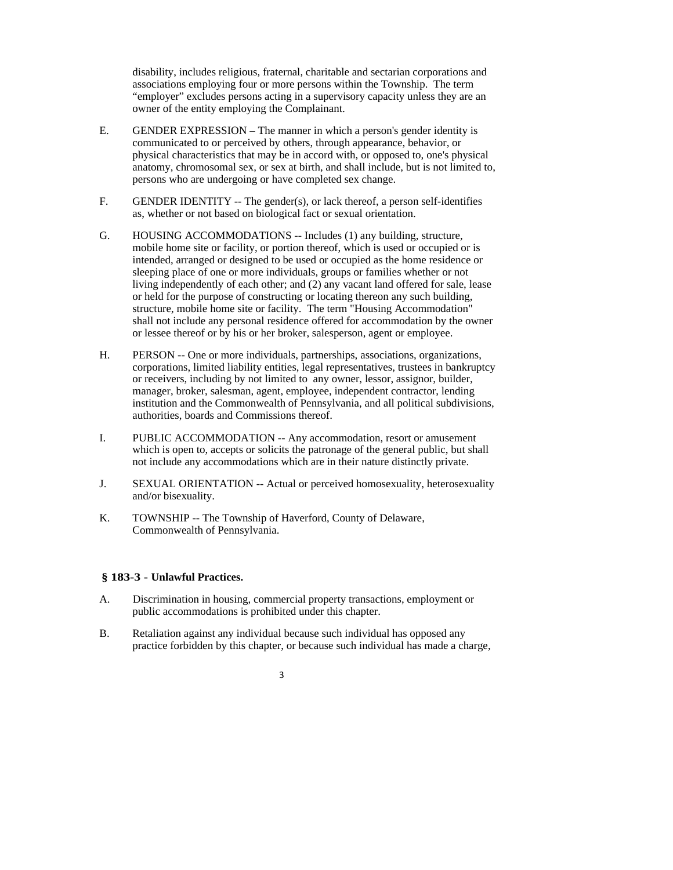disability, includes religious, fraternal, charitable and sectarian corporations and associations employing four or more persons within the Township. The term "employer" excludes persons acting in a supervisory capacity unless they are an owner of the entity employing the Complainant.

- E. GENDER EXPRESSION The manner in which a person's gender identity is communicated to or perceived by others, through appearance, behavior, or physical characteristics that may be in accord with, or opposed to, one's physical anatomy, chromosomal sex, or sex at birth, and shall include, but is not limited to, persons who are undergoing or have completed sex change.
- F. GENDER IDENTITY -- The gender(s), or lack thereof, a person self-identifies as, whether or not based on biological fact or sexual orientation.
- G. HOUSING ACCOMMODATIONS -- Includes (1) any building, structure, mobile home site or facility, or portion thereof, which is used or occupied or is intended, arranged or designed to be used or occupied as the home residence or sleeping place of one or more individuals, groups or families whether or not living independently of each other; and (2) any vacant land offered for sale, lease or held for the purpose of constructing or locating thereon any such building, structure, mobile home site or facility. The term "Housing Accommodation" shall not include any personal residence offered for accommodation by the owner or lessee thereof or by his or her broker, salesperson, agent or employee.
- H. PERSON -- One or more individuals, partnerships, associations, organizations, corporations, limited liability entities, legal representatives, trustees in bankruptcy or receivers, including by not limited to any owner, lessor, assignor, builder, manager, broker, salesman, agent, employee, independent contractor, lending institution and the Commonwealth of Pennsylvania, and all political subdivisions, authorities, boards and Commissions thereof.
- I. PUBLIC ACCOMMODATION -- Any accommodation, resort or amusement which is open to, accepts or solicits the patronage of the general public, but shall not include any accommodations which are in their nature distinctly private.
- J. SEXUAL ORIENTATION -- Actual or perceived homosexuality, heterosexuality and/or bisexuality.
- K. TOWNSHIP -- The Township of Haverford, County of Delaware, Commonwealth of Pennsylvania.

## **§ 183-3 - Unlawful Practices.**

- A. Discrimination in housing, commercial property transactions, employment or public accommodations is prohibited under this chapter.
- B. Retaliation against any individual because such individual has opposed any practice forbidden by this chapter, or because such individual has made a charge,
	- 3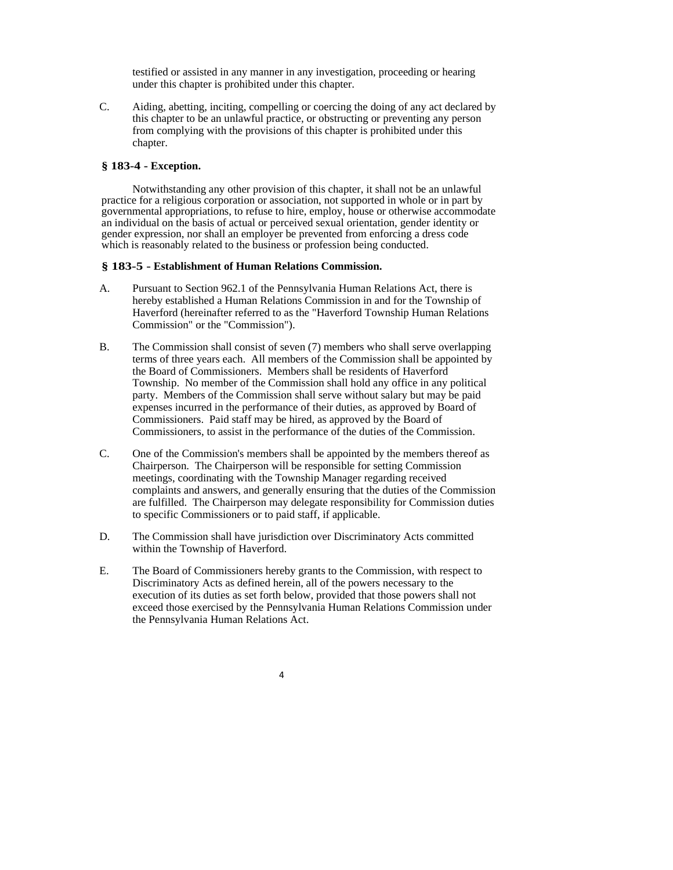testified or assisted in any manner in any investigation, proceeding or hearing under this chapter is prohibited under this chapter.

C. Aiding, abetting, inciting, compelling or coercing the doing of any act declared by this chapter to be an unlawful practice, or obstructing or preventing any person from complying with the provisions of this chapter is prohibited under this chapter.

# **§ 183-4 - Exception.**

Notwithstanding any other provision of this chapter, it shall not be an unlawful practice for a religious corporation or association, not supported in whole or in part by governmental appropriations, to refuse to hire, employ, house or otherwise accommodate an individual on the basis of actual or perceived sexual orientation, gender identity or gender expression, nor shall an employer be prevented from enforcing a dress code which is reasonably related to the business or profession being conducted.

# **§ 183-5 - Establishment of Human Relations Commission.**

- A. Pursuant to Section 962.1 of the Pennsylvania Human Relations Act, there is hereby established a Human Relations Commission in and for the Township of Haverford (hereinafter referred to as the "Haverford Township Human Relations Commission" or the "Commission").
- B. The Commission shall consist of seven (7) members who shall serve overlapping terms of three years each. All members of the Commission shall be appointed by the Board of Commissioners. Members shall be residents of Haverford Township. No member of the Commission shall hold any office in any political party. Members of the Commission shall serve without salary but may be paid expenses incurred in the performance of their duties, as approved by Board of Commissioners. Paid staff may be hired, as approved by the Board of Commissioners, to assist in the performance of the duties of the Commission.
- C. One of the Commission's members shall be appointed by the members thereof as Chairperson. The Chairperson will be responsible for setting Commission meetings, coordinating with the Township Manager regarding received complaints and answers, and generally ensuring that the duties of the Commission are fulfilled. The Chairperson may delegate responsibility for Commission duties to specific Commissioners or to paid staff, if applicable.
- D. The Commission shall have jurisdiction over Discriminatory Acts committed within the Township of Haverford.
- E. The Board of Commissioners hereby grants to the Commission, with respect to Discriminatory Acts as defined herein, all of the powers necessary to the execution of its duties as set forth below, provided that those powers shall not exceed those exercised by the Pennsylvania Human Relations Commission under the Pennsylvania Human Relations Act.

4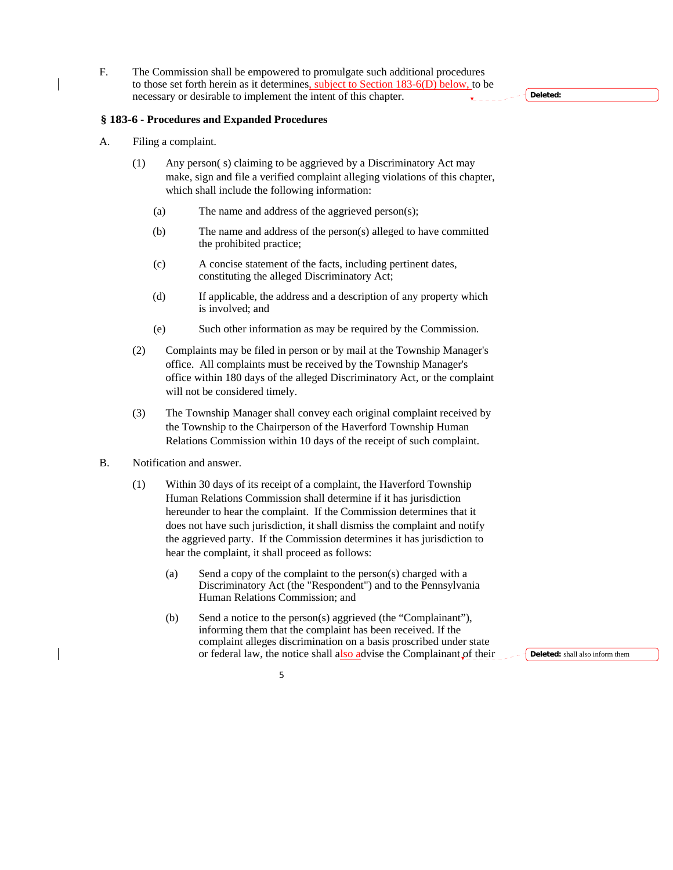F. The Commission shall be empowered to promulgate such additional procedures to those set forth herein as it determines, subject to Section 183-6(D) below, to be necessary or desirable to implement the intent of this chapter.

## **§ 183-6 - Procedures and Expanded Procedures**

- A. Filing a complaint.
	- (1) Any person( s) claiming to be aggrieved by a Discriminatory Act may make, sign and file a verified complaint alleging violations of this chapter, which shall include the following information:
		- (a) The name and address of the aggrieved person(s);
		- (b) The name and address of the person(s) alleged to have committed the prohibited practice;
		- (c) A concise statement of the facts, including pertinent dates, constituting the alleged Discriminatory Act;
		- (d) If applicable, the address and a description of any property which is involved; and
		- (e) Such other information as may be required by the Commission.
	- (2) Complaints may be filed in person or by mail at the Township Manager's office. All complaints must be received by the Township Manager's office within 180 days of the alleged Discriminatory Act, or the complaint will not be considered timely.
	- (3) The Township Manager shall convey each original complaint received by the Township to the Chairperson of the Haverford Township Human Relations Commission within 10 days of the receipt of such complaint.
- B. Notification and answer.
	- (1) Within 30 days of its receipt of a complaint, the Haverford Township Human Relations Commission shall determine if it has jurisdiction hereunder to hear the complaint. If the Commission determines that it does not have such jurisdiction, it shall dismiss the complaint and notify the aggrieved party. If the Commission determines it has jurisdiction to hear the complaint, it shall proceed as follows:
		- (a) Send a copy of the complaint to the person(s) charged with a Discriminatory Act (the "Respondent") and to the Pennsylvania Human Relations Commission; and
		- (b) Send a notice to the person(s) aggrieved (the "Complainant"), informing them that the complaint has been received. If the complaint alleges discrimination on a basis proscribed under state or federal law, the notice shall also advise the Complainant of their

**Deleted:** shall also inform them



**Deleted:**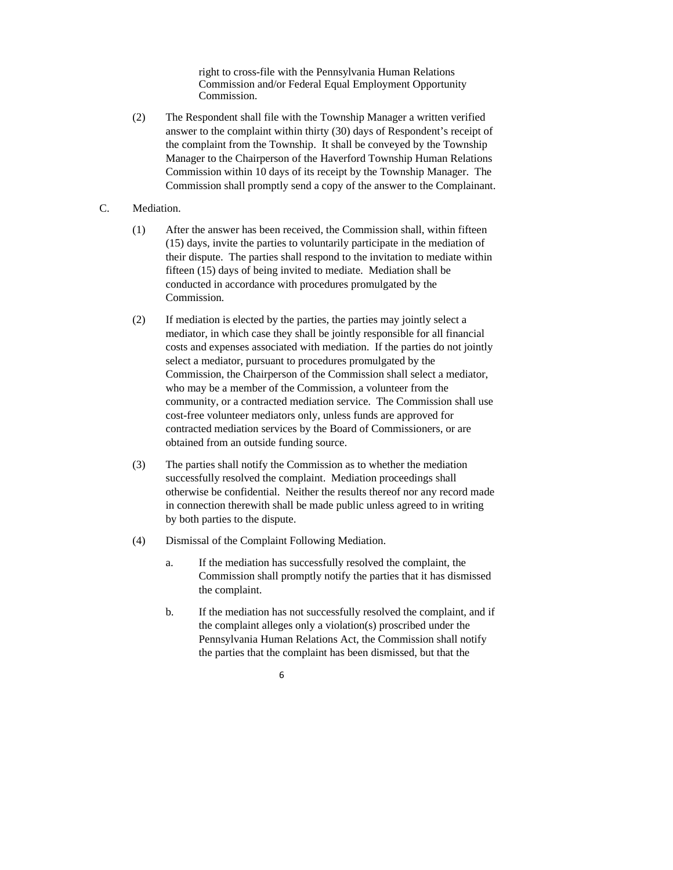right to cross-file with the Pennsylvania Human Relations Commission and/or Federal Equal Employment Opportunity Commission.

- (2) The Respondent shall file with the Township Manager a written verified answer to the complaint within thirty (30) days of Respondent's receipt of the complaint from the Township. It shall be conveyed by the Township Manager to the Chairperson of the Haverford Township Human Relations Commission within 10 days of its receipt by the Township Manager. The Commission shall promptly send a copy of the answer to the Complainant.
- C. Mediation.
	- (1) After the answer has been received, the Commission shall, within fifteen (15) days, invite the parties to voluntarily participate in the mediation of their dispute. The parties shall respond to the invitation to mediate within fifteen (15) days of being invited to mediate. Mediation shall be conducted in accordance with procedures promulgated by the Commission.
	- (2) If mediation is elected by the parties, the parties may jointly select a mediator, in which case they shall be jointly responsible for all financial costs and expenses associated with mediation. If the parties do not jointly select a mediator, pursuant to procedures promulgated by the Commission, the Chairperson of the Commission shall select a mediator, who may be a member of the Commission, a volunteer from the community, or a contracted mediation service. The Commission shall use cost-free volunteer mediators only, unless funds are approved for contracted mediation services by the Board of Commissioners, or are obtained from an outside funding source.
	- (3) The parties shall notify the Commission as to whether the mediation successfully resolved the complaint. Mediation proceedings shall otherwise be confidential. Neither the results thereof nor any record made in connection therewith shall be made public unless agreed to in writing by both parties to the dispute.
	- (4) Dismissal of the Complaint Following Mediation.
		- a. If the mediation has successfully resolved the complaint, the Commission shall promptly notify the parties that it has dismissed the complaint.
		- b. If the mediation has not successfully resolved the complaint, and if the complaint alleges only a violation(s) proscribed under the Pennsylvania Human Relations Act, the Commission shall notify the parties that the complaint has been dismissed, but that the
			- 6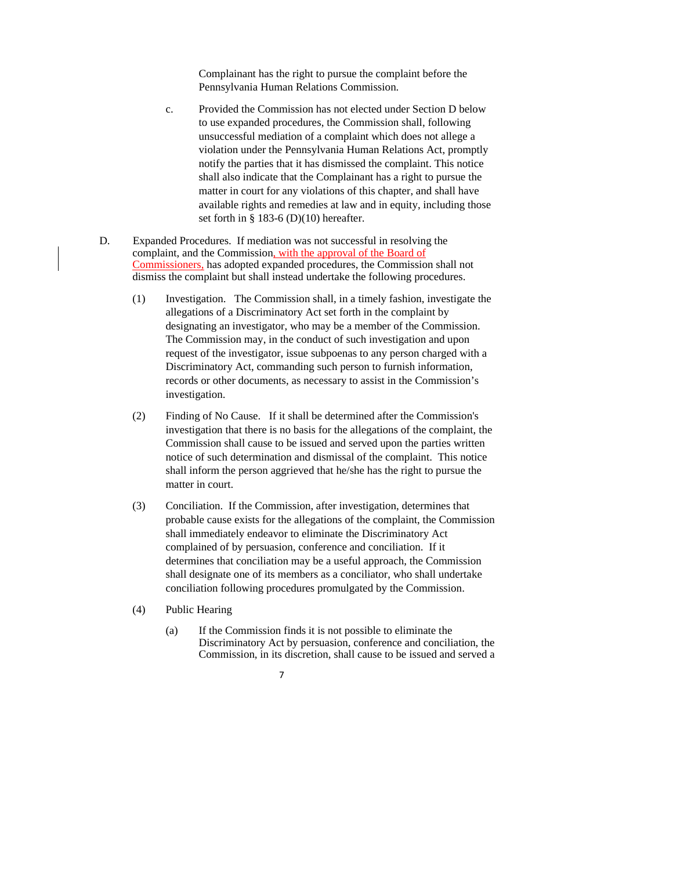Complainant has the right to pursue the complaint before the Pennsylvania Human Relations Commission.

- c. Provided the Commission has not elected under Section D below to use expanded procedures, the Commission shall, following unsuccessful mediation of a complaint which does not allege a violation under the Pennsylvania Human Relations Act, promptly notify the parties that it has dismissed the complaint. This notice shall also indicate that the Complainant has a right to pursue the matter in court for any violations of this chapter, and shall have available rights and remedies at law and in equity, including those set forth in § 183-6 (D)(10) hereafter.
- D. Expanded Procedures. If mediation was not successful in resolving the complaint, and the Commission, with the approval of the Board of Commissioners, has adopted expanded procedures, the Commission shall not dismiss the complaint but shall instead undertake the following procedures.
	- (1) Investigation. The Commission shall, in a timely fashion, investigate the allegations of a Discriminatory Act set forth in the complaint by designating an investigator, who may be a member of the Commission. The Commission may, in the conduct of such investigation and upon request of the investigator, issue subpoenas to any person charged with a Discriminatory Act, commanding such person to furnish information, records or other documents, as necessary to assist in the Commission's investigation.
	- (2) Finding of No Cause. If it shall be determined after the Commission's investigation that there is no basis for the allegations of the complaint, the Commission shall cause to be issued and served upon the parties written notice of such determination and dismissal of the complaint. This notice shall inform the person aggrieved that he/she has the right to pursue the matter in court.
	- (3) Conciliation. If the Commission, after investigation, determines that probable cause exists for the allegations of the complaint, the Commission shall immediately endeavor to eliminate the Discriminatory Act complained of by persuasion, conference and conciliation. If it determines that conciliation may be a useful approach, the Commission shall designate one of its members as a conciliator, who shall undertake conciliation following procedures promulgated by the Commission.
	- (4) Public Hearing
		- (a) If the Commission finds it is not possible to eliminate the Discriminatory Act by persuasion, conference and conciliation, the Commission, in its discretion, shall cause to be issued and served a
			- 7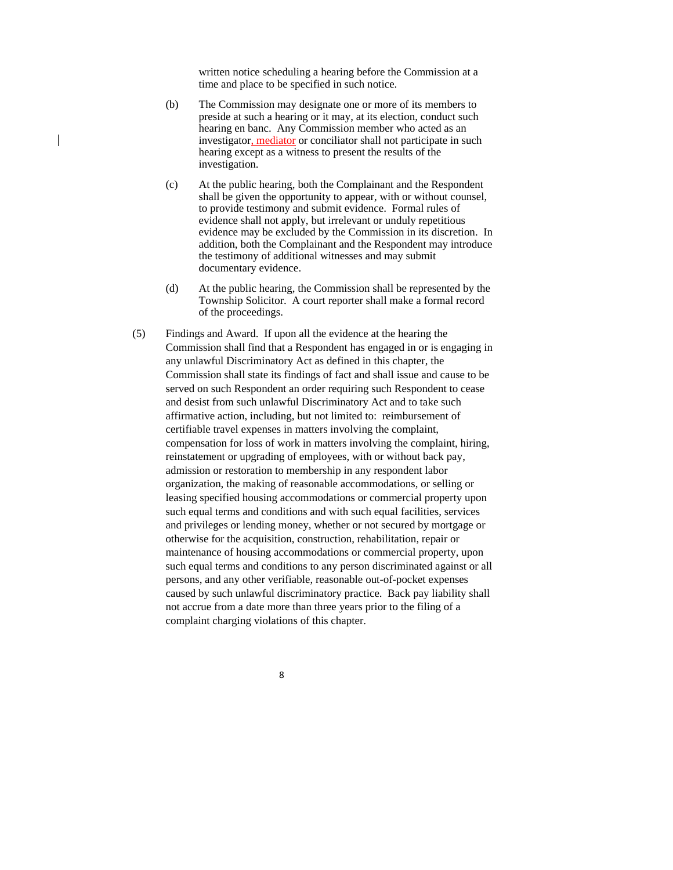written notice scheduling a hearing before the Commission at a time and place to be specified in such notice.

- (b) The Commission may designate one or more of its members to preside at such a hearing or it may, at its election, conduct such hearing en banc. Any Commission member who acted as an investigator, mediator or conciliator shall not participate in such hearing except as a witness to present the results of the investigation.
- (c) At the public hearing, both the Complainant and the Respondent shall be given the opportunity to appear, with or without counsel, to provide testimony and submit evidence. Formal rules of evidence shall not apply, but irrelevant or unduly repetitious evidence may be excluded by the Commission in its discretion. In addition, both the Complainant and the Respondent may introduce the testimony of additional witnesses and may submit documentary evidence.
- (d) At the public hearing, the Commission shall be represented by the Township Solicitor. A court reporter shall make a formal record of the proceedings.
- (5) Findings and Award. If upon all the evidence at the hearing the Commission shall find that a Respondent has engaged in or is engaging in any unlawful Discriminatory Act as defined in this chapter, the Commission shall state its findings of fact and shall issue and cause to be served on such Respondent an order requiring such Respondent to cease and desist from such unlawful Discriminatory Act and to take such affirmative action, including, but not limited to: reimbursement of certifiable travel expenses in matters involving the complaint, compensation for loss of work in matters involving the complaint, hiring, reinstatement or upgrading of employees, with or without back pay, admission or restoration to membership in any respondent labor organization, the making of reasonable accommodations, or selling or leasing specified housing accommodations or commercial property upon such equal terms and conditions and with such equal facilities, services and privileges or lending money, whether or not secured by mortgage or otherwise for the acquisition, construction, rehabilitation, repair or maintenance of housing accommodations or commercial property, upon such equal terms and conditions to any person discriminated against or all persons, and any other verifiable, reasonable out-of-pocket expenses caused by such unlawful discriminatory practice. Back pay liability shall not accrue from a date more than three years prior to the filing of a complaint charging violations of this chapter.
	- 8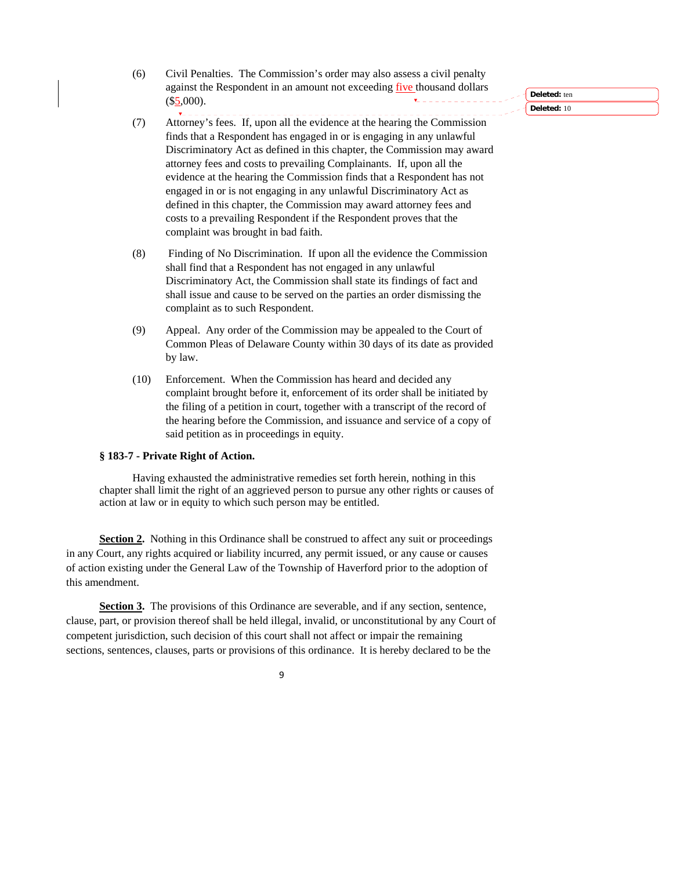- (6) Civil Penalties. The Commission's order may also assess a civil penalty against the Respondent in an amount not exceeding five thousand dollars  $($5,000).$
- $\overline{\mathbf{v}}$  =  $\overline{\mathbf{v}}$ (7) Attorney's fees. If, upon all the evidence at the hearing the Commission finds that a Respondent has engaged in or is engaging in any unlawful Discriminatory Act as defined in this chapter, the Commission may award attorney fees and costs to prevailing Complainants. If, upon all the evidence at the hearing the Commission finds that a Respondent has not engaged in or is not engaging in any unlawful Discriminatory Act as defined in this chapter, the Commission may award attorney fees and costs to a prevailing Respondent if the Respondent proves that the complaint was brought in bad faith.
- (8) Finding of No Discrimination. If upon all the evidence the Commission shall find that a Respondent has not engaged in any unlawful Discriminatory Act, the Commission shall state its findings of fact and shall issue and cause to be served on the parties an order dismissing the complaint as to such Respondent.
- (9) Appeal. Any order of the Commission may be appealed to the Court of Common Pleas of Delaware County within 30 days of its date as provided by law.
- (10) Enforcement. When the Commission has heard and decided any complaint brought before it, enforcement of its order shall be initiated by the filing of a petition in court, together with a transcript of the record of the hearing before the Commission, and issuance and service of a copy of said petition as in proceedings in equity.

#### **§ 183-7 - Private Right of Action.**

Having exhausted the administrative remedies set forth herein, nothing in this chapter shall limit the right of an aggrieved person to pursue any other rights or causes of action at law or in equity to which such person may be entitled.

**Section 2.** Nothing in this Ordinance shall be construed to affect any suit or proceedings in any Court, any rights acquired or liability incurred, any permit issued, or any cause or causes of action existing under the General Law of the Township of Haverford prior to the adoption of this amendment.

**Section 3.** The provisions of this Ordinance are severable, and if any section, sentence, clause, part, or provision thereof shall be held illegal, invalid, or unconstitutional by any Court of competent jurisdiction, such decision of this court shall not affect or impair the remaining sections, sentences, clauses, parts or provisions of this ordinance. It is hereby declared to be the

9

**Deleted:** ten

**Deleted:** 10